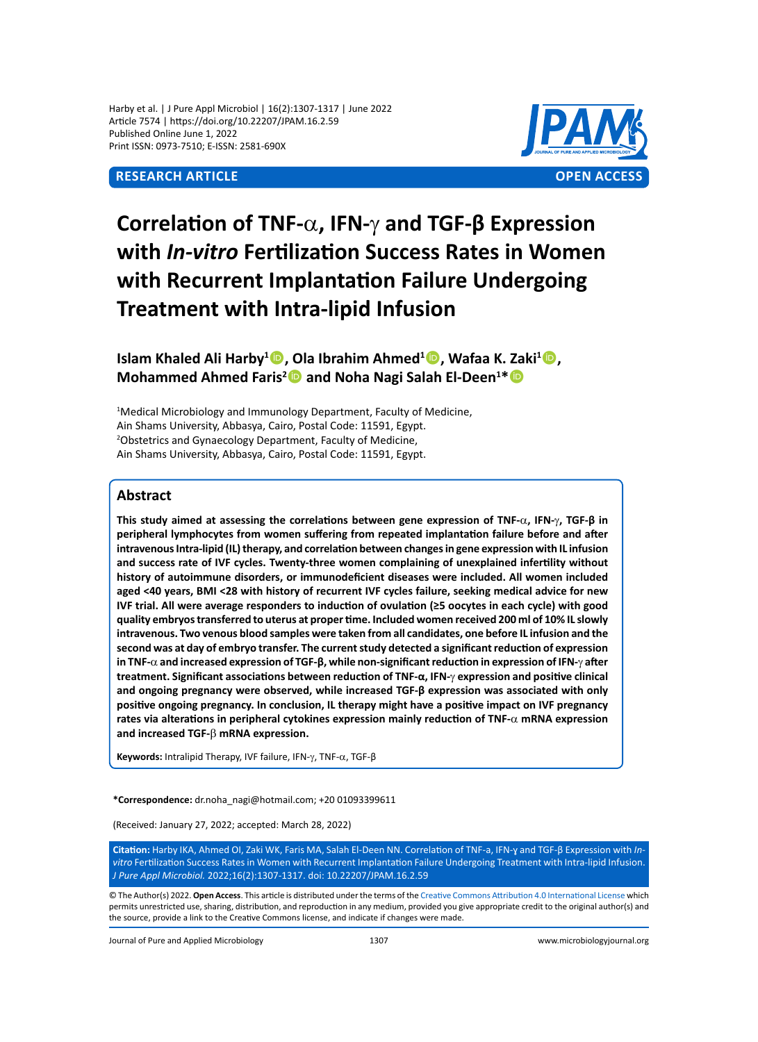Harby et al. | J Pure Appl Microbiol | 16(2):1307-1317 | June 2022 Article 7574 | https://doi.org/10.22207/JPAM.16.2.59 Published Online June 1, 2022 Print ISSN: 0973-7510; E-ISSN: 2581-690X

# **Research Article OPEN ACCESS**



# **Correlation of TNF-**a**, IFN-**γ **and TGF-β Expression with** *In-vitro* **Fertilization Success Rates in Women with Recurrent Implantation Failure Undergoing Treatment with Intra-lipid Infusion**

# **Islam Khaled Ali Harby<sup>1</sup> , Ola Ibrahim Ahmed<sup>1</sup> , Wafaa K. Zaki<sup>1</sup> , Mohammed Ahmed Faris<sup>2</sup> and Noha Nagi Salah El-Deen<sup>1\*</sup> <sup>1</sup>**

<sup>1</sup>Medical Microbiology and Immunology Department, Faculty of Medicine, Ain Shams University, Abbasya, Cairo, Postal Code: 11591, Egypt. 2 Obstetrics and Gynaecology Department, Faculty of Medicine, Ain Shams University, Abbasya, Cairo, Postal Code: 11591, Egypt.

# **Abstract**

**This study aimed at assessing the correlations between gene expression of TNF-**a**, IFN-**γ**, TGF-β in peripheral lymphocytes from women suffering from repeated implantation failure before and after intravenous Intra-lipid (IL) therapy, and correlation between changes in gene expression with IL infusion and success rate of IVF cycles. Twenty-three women complaining of unexplained infertility without history of autoimmune disorders, or immunodeficient diseases were included. All women included aged <40 years, BMI <28 with history of recurrent IVF cycles failure, seeking medical advice for new IVF trial. All were average responders to induction of ovulation (≥5 oocytes in each cycle) with good quality embryos transferred to uterus at proper time. Included women received 200 ml of 10% IL slowly intravenous. Two venous blood samples were taken from all candidates, one before IL infusion and the second was at day of embryo transfer. The current study detected a significant reduction of expression in TNF-**a **and increased expression of TGF-β, while non-significant reduction in expression of IFN-**γ **after treatment. Significant associations between reduction of TNF-α, IFN-**γ **expression and positive clinical and ongoing pregnancy were observed, while increased TGF-β expression was associated with only positive ongoing pregnancy. In conclusion, IL therapy might have a positive impact on IVF pregnancy rates via alterations in peripheral cytokines expression mainly reduction of TNF-**a **mRNA expression and increased TGF-**b **mRNA expression.**

**Keywords:** Intralipid Therapy, IVF failure, IFN-γ, TNF-a, TGF-β

**\*Correspondence:** dr.noha\_nagi@hotmail.com; +20 01093399611

(Received: January 27, 2022; accepted: March 28, 2022)

**Citation:** Harby IKA, Ahmed OI, Zaki WK, Faris MA, Salah El-Deen NN. Correlation of TNF-a, IFN-ɣ and TGF-β Expression with *Invitro* Fertilization Success Rates in Women with Recurrent Implantation Failure Undergoing Treatment with Intra-lipid Infusion. *J Pure Appl Microbiol.* 2022;16(2):1307-1317. doi: 10.22207/JPAM.16.2.59

© The Author(s) 2022. **Open Access**. This article is distributed under the terms of the [Creative Commons Attribution 4.0 International License](https://creativecommons.org/licenses/by/4.0/) which permits unrestricted use, sharing, distribution, and reproduction in any medium, provided you give appropriate credit to the original author(s) and the source, provide a link to the Creative Commons license, and indicate if changes were made.

Journal of Pure and Applied Microbiology 1307 www.microbiologyjournal.org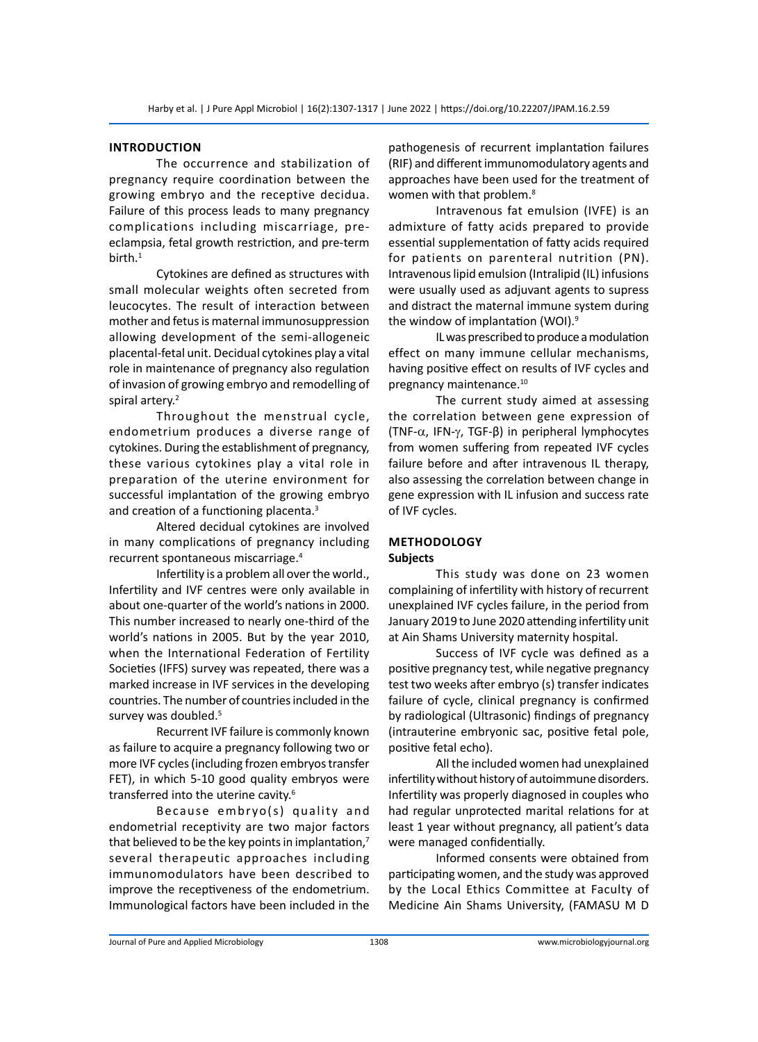#### **Introduction**

The occurrence and stabilization of pregnancy require coordination between the growing embryo and the receptive decidua. Failure of this process leads to many pregnancy complications including miscarriage, preeclampsia, fetal growth restriction, and pre-term birth.1

Cytokines are defined as structures with small molecular weights often secreted from leucocytes. The result of interaction between mother and fetus is maternal immunosuppression allowing development of the semi-allogeneic placental-fetal unit. Decidual cytokines play a vital role in maintenance of pregnancy also regulation of invasion of growing embryo and remodelling of spiral artery.<sup>2</sup>

Throughout the menstrual cycle, endometrium produces a diverse range of cytokines. During the establishment of pregnancy, these various cytokines play a vital role in preparation of the uterine environment for successful implantation of the growing embryo and creation of a functioning placenta.<sup>3</sup>

Altered decidual cytokines are involved in many complications of pregnancy including recurrent spontaneous miscarriage.<sup>4</sup>

Infertility is a problem all over the world., Infertility and IVF centres were only available in about one-quarter of the world's nations in 2000. This number increased to nearly one-third of the world's nations in 2005. But by the year 2010, when the International Federation of Fertility Societies (IFFS) survey was repeated, there was a marked increase in IVF services in the developing countries. The number of countries included in the survey was doubled.<sup>5</sup>

Recurrent IVF failure is commonly known as failure to acquire a pregnancy following two or more IVF cycles (including frozen embryos transfer FET), in which 5-10 good quality embryos were transferred into the uterine cavity.<sup>6</sup>

Because embryo(s) quality and endometrial receptivity are two major factors that believed to be the key points in implantation, $<sup>7</sup>$ </sup> several therapeutic approaches including immunomodulators have been described to improve the receptiveness of the endometrium. Immunological factors have been included in the pathogenesis of recurrent implantation failures (RIF) and different immunomodulatory agents and approaches have been used for the treatment of women with that problem.<sup>8</sup>

Intravenous fat emulsion (IVFE) is an admixture of fatty acids prepared to provide essential supplementation of fatty acids required for patients on parenteral nutrition (PN). Intravenous lipid emulsion (Intralipid (IL) infusions were usually used as adjuvant agents to supress and distract the maternal immune system during the window of implantation (WOI).<sup>9</sup>

IL was prescribed to produce a modulation effect on many immune cellular mechanisms, having positive effect on results of IVF cycles and pregnancy maintenance.<sup>10</sup>

The current study aimed at assessing the correlation between gene expression of (TNF-a, IFN-γ, TGF-β) in peripheral lymphocytes from women suffering from repeated IVF cycles failure before and after intravenous IL therapy, also assessing the correlation between change in gene expression with IL infusion and success rate of IVF cycles.

# **Methodology Subjects**

This study was done on 23 women complaining of infertility with history of recurrent unexplained IVF cycles failure, in the period from January 2019 to June 2020 attending infertility unit at Ain Shams University maternity hospital.

Success of IVF cycle was defined as a positive pregnancy test, while negative pregnancy test two weeks after embryo (s) transfer indicates failure of cycle, clinical pregnancy is confirmed by radiological (Ultrasonic) findings of pregnancy (intrauterine embryonic sac, positive fetal pole, positive fetal echo).

All the included women had unexplained infertility without history of autoimmune disorders. Infertility was properly diagnosed in couples who had regular unprotected marital relations for at least 1 year without pregnancy, all patient's data were managed confidentially.

Informed consents were obtained from participating women, and the study was approved by the Local Ethics Committee at Faculty of Medicine Ain Shams University, (FAMASU M D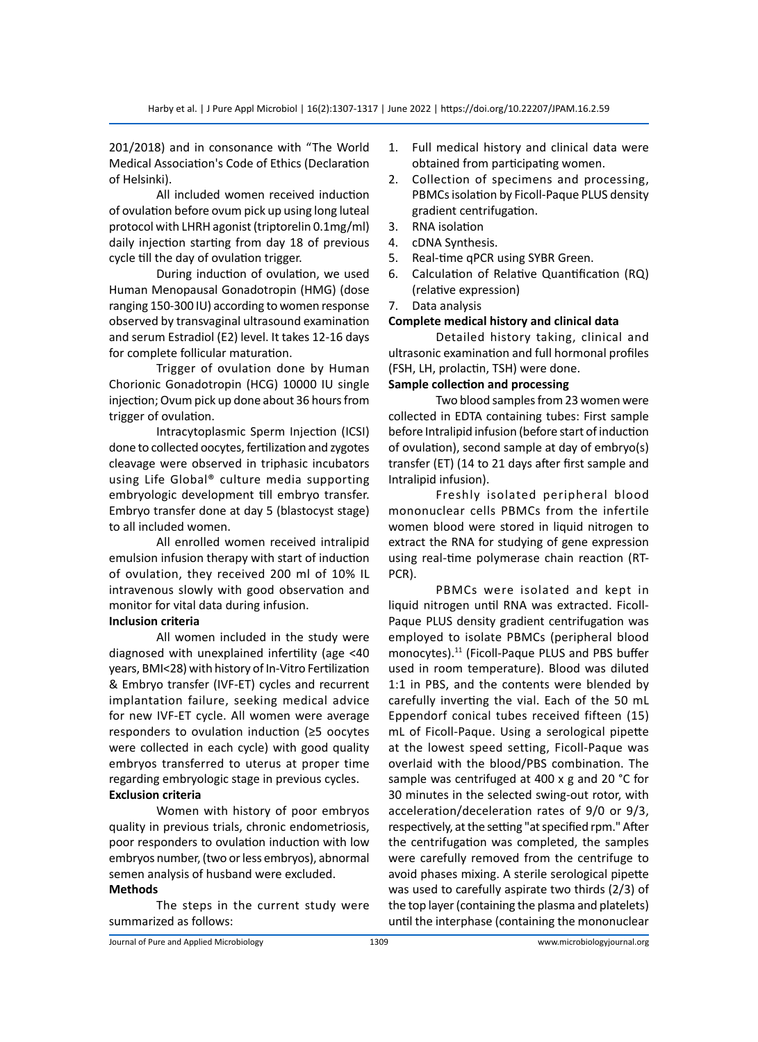201/2018) and in consonance with "The World Medical Association's Code of Ethics (Declaration of Helsinki).

All included women received induction of ovulation before ovum pick up using long luteal protocol with LHRH agonist (triptorelin 0.1mg/ml) daily injection starting from day 18 of previous cycle till the day of ovulation trigger.

During induction of ovulation, we used Human Menopausal Gonadotropin (HMG) (dose ranging 150-300 IU) according to women response observed by transvaginal ultrasound examination and serum Estradiol (E2) level. It takes 12-16 days for complete follicular maturation.

Trigger of ovulation done by Human Chorionic Gonadotropin (HCG) 10000 IU single injection; Ovum pick up done about 36 hours from trigger of ovulation.

Intracytoplasmic Sperm Injection (ICSI) done to collected oocytes, fertilization and zygotes cleavage were observed in triphasic incubators using Life Global® culture media supporting embryologic development till embryo transfer. Embryo transfer done at day 5 (blastocyst stage) to all included women.

All enrolled women received intralipid emulsion infusion therapy with start of induction of ovulation, they received 200 ml of 10% IL intravenous slowly with good observation and monitor for vital data during infusion.

# **Inclusion criteria**

All women included in the study were diagnosed with unexplained infertility (age <40 years, BMI<28) with history of In-Vitro Fertilization & Embryo transfer (IVF-ET) cycles and recurrent implantation failure, seeking medical advice for new IVF-ET cycle. All women were average responders to ovulation induction (≥5 oocytes were collected in each cycle) with good quality embryos transferred to uterus at proper time regarding embryologic stage in previous cycles. **Exclusion criteria**

Women with history of poor embryos quality in previous trials, chronic endometriosis, poor responders to ovulation induction with low embryos number, (two or less embryos), abnormal semen analysis of husband were excluded. **Methods**

The steps in the current study were summarized as follows:

- 1. Full medical history and clinical data were obtained from participating women.
- 2. Collection of specimens and processing, PBMCs isolation by Ficoll-Paque PLUS density gradient centrifugation.
- 3. RNA isolation
- 4. cDNA Synthesis.
- 5. Real-time qPCR using SYBR Green.
- 6. Calculation of Relative Quantification (RQ) (relative expression)
- 7. Data analysis

# **Complete medical history and clinical data**

Detailed history taking, clinical and ultrasonic examination and full hormonal profiles (FSH, LH, prolactin, TSH) were done.

# **Sample collection and processing**

Two blood samples from 23 women were collected in EDTA containing tubes: First sample before Intralipid infusion (before start of induction of ovulation), second sample at day of embryo(s) transfer (ET) (14 to 21 days after first sample and Intralipid infusion).

Freshly isolated peripheral blood mononuclear cells PBMCs from the infertile women blood were stored in liquid nitrogen to extract the RNA for studying of gene expression using real-time polymerase chain reaction (RT-PCR).

PBMCs were isolated and kept in liquid nitrogen until RNA was extracted. Ficoll-Paque PLUS density gradient centrifugation was employed to isolate PBMCs (peripheral blood monocytes).11 (Ficoll-Paque PLUS and PBS buffer used in room temperature). Blood was diluted 1:1 in PBS, and the contents were blended by carefully inverting the vial. Each of the 50 mL Eppendorf conical tubes received fifteen (15) mL of Ficoll-Paque. Using a serological pipette at the lowest speed setting, Ficoll-Paque was overlaid with the blood/PBS combination. The sample was centrifuged at 400 x g and 20 °C for 30 minutes in the selected swing-out rotor, with acceleration/deceleration rates of 9/0 or 9/3, respectively, at the setting "at specified rpm." After the centrifugation was completed, the samples were carefully removed from the centrifuge to avoid phases mixing. A sterile serological pipette was used to carefully aspirate two thirds (2/3) of the top layer (containing the plasma and platelets) until the interphase (containing the mononuclear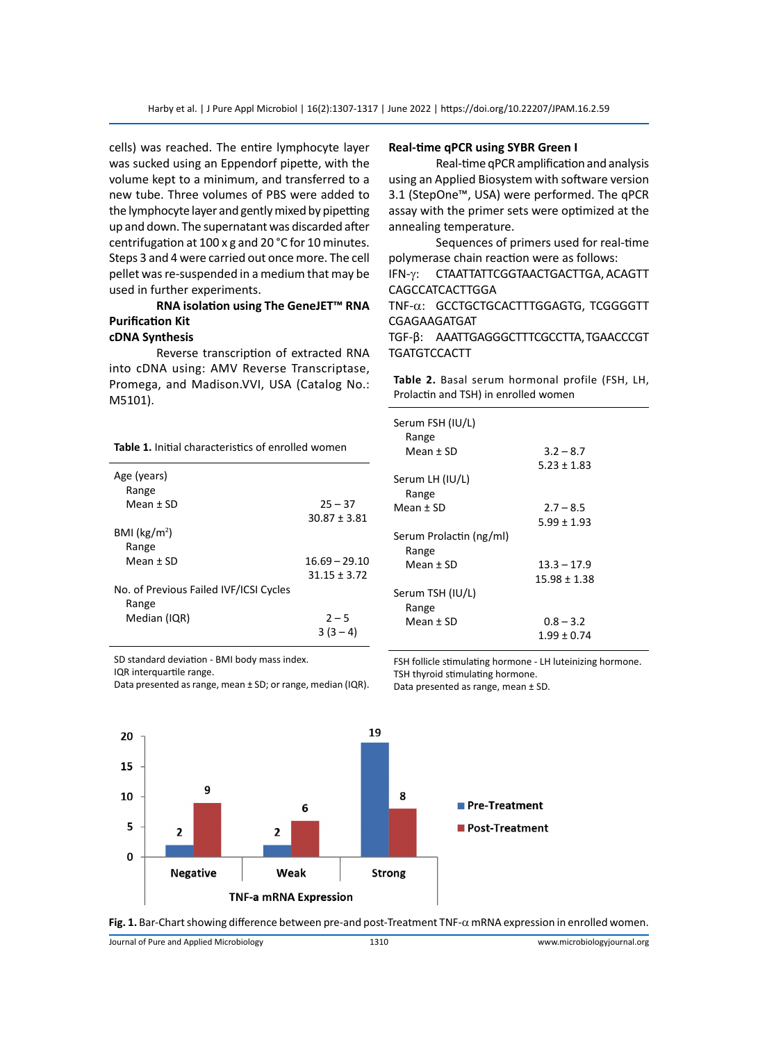cells) was reached. The entire lymphocyte layer was sucked using an Eppendorf pipette, with the volume kept to a minimum, and transferred to a new tube. Three volumes of PBS were added to the lymphocyte layer and gently mixed by pipetting up and down. The supernatant was discarded after centrifugation at 100 x g and 20 °C for 10 minutes. Steps 3 and 4 were carried out once more. The cell pellet was re-suspended in a medium that may be used in further experiments.

# **RNA isolation using The GeneJET™ RNA Purification Kit**

# **cDNA Synthesis**

Reverse transcription of extracted RNA into cDNA using: AMV Reverse Transcriptase, Promega, and Madison.VVI, USA (Catalog No.: M5101).

**Table 1.** Initial characteristics of enrolled women

| Age (years)<br>Range                   |                 |
|----------------------------------------|-----------------|
| $Mean + SD$                            | $25 - 37$       |
|                                        | $30.87 + 3.81$  |
| BMI (kg/m <sup>2</sup> )               |                 |
| Range                                  |                 |
| $Mean + SD$                            | $16.69 - 29.10$ |
|                                        | $31.15 + 3.72$  |
| No. of Previous Failed IVF/ICSI Cycles |                 |
| Range                                  |                 |
| Median (IQR)                           | $2 - 5$         |
|                                        | $3(3-4)$        |

SD standard deviation - BMI body mass index.

IQR interquartile range.

#### **Real-time qPCR using SYBR Green I**

Real-time qPCR amplification and analysis using an Applied Biosystem with software version 3.1 (StepOne™, USA) were performed. The qPCR assay with the primer sets were optimized at the annealing temperature.

Sequences of primers used for real-time polymerase chain reaction were as follows: IFN-γ: CTAATTATTCGGTAACTGACTTGA, ACAGTT CAGCCATCACTTGGA

TNF-a: GCCTGCTGCACTTTGGAGTG, TCGGGGTT CGAGAAGATGAT

TGF-β: AAATTGAGGGCTTTCGCCTTA, TGAACCCGT **TGATGTCCACTT** 

**Table 2.** Basal serum hormonal profile (FSH, LH, Prolactin and TSH) in enrolled women

| Serum FSH (IU/L)<br>Range        |                 |  |
|----------------------------------|-----------------|--|
| Mean + SD                        | $3.2 - 8.7$     |  |
|                                  | $5.23 \pm 1.83$ |  |
| Serum LH (IU/L)                  |                 |  |
| Range                            |                 |  |
| Mean + SD                        | $2.7 - 8.5$     |  |
|                                  | $5.99 \pm 1.93$ |  |
| Serum Prolactin (ng/ml)<br>Range |                 |  |
| Mean + SD                        | $13.3 - 17.9$   |  |
|                                  | 15.98 ± 1.38    |  |
| Serum TSH (IU/L)                 |                 |  |
| Range                            |                 |  |
| Mean + SD                        | $0.8 - 3.2$     |  |
|                                  | $1.99 \pm 0.74$ |  |

Data presented as range, mean ± SD; or range, median (IQR). FSH follicle stimulating hormone - LH luteinizing hormone. TSH thyroid stimulating hormone.

Data presented as range, mean ± SD.



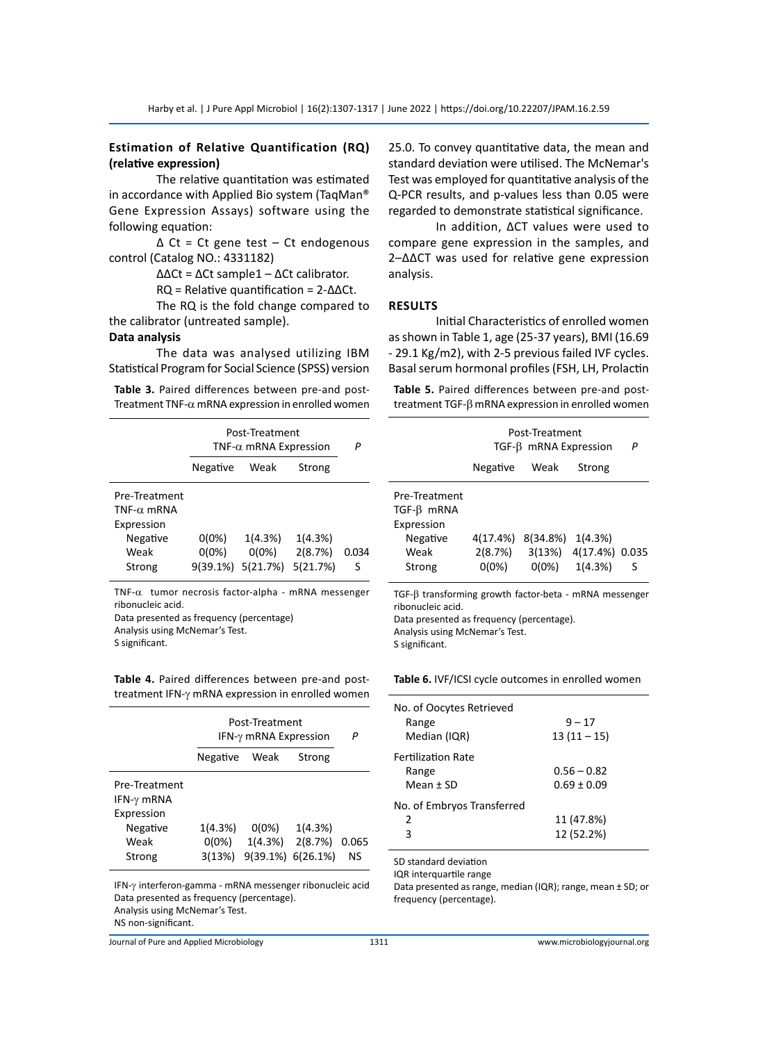# **Estimation of Relative Quantification (RQ) (relative expression)**

The relative quantitation was estimated in accordance with Applied Bio system (TaqMan® Gene Expression Assays) software using the following equation:

∆ Ct = Ct gene test – Ct endogenous control (Catalog NO.: 4331182)

∆∆Ct = ∆Ct sample1 – ∆Ct calibrator.

RQ = Relative quantification = 2-∆∆Ct.

The RQ is the fold change compared to the calibrator (untreated sample).

# **Data analysis**

The data was analysed utilizing IBM Statistical Program for Social Science (SPSS) version

**Table 3.** Paired differences between pre-and post-Treatment TNF- $\alpha$  mRNA expression in enrolled women

|                                                                                 | Post-Treatment<br>TNF- $\alpha$ mRNA Expression |                                          |                                | P          |
|---------------------------------------------------------------------------------|-------------------------------------------------|------------------------------------------|--------------------------------|------------|
|                                                                                 | Negative                                        | Weak                                     | Strong                         |            |
| Pre-Treatment<br>TNF- $\alpha$ mRNA<br>Expression<br>Negative<br>Weak<br>Strong | $0(0\%)$<br>$0(0\%)$                            | 1(4.3%)<br>$0(0\%)$<br>9(39.1%) 5(21.7%) | 1(4.3%)<br>2(8.7%)<br>5(21.7%) | 0.034<br>S |

TNF- $\alpha$  tumor necrosis factor-alpha - mRNA messenger ribonucleic acid.

Data presented as frequency (percentage)

Analysis using McNemar's Test.

S significant.

**Table 4.** Paired differences between pre-and posttreatment IFN-γ mRNA expression in enrolled women

|                                                                                 | Post-Treatment<br>IFN-γ mRNA Expression |                                 |                                | Р           |
|---------------------------------------------------------------------------------|-----------------------------------------|---------------------------------|--------------------------------|-------------|
|                                                                                 | Negative                                | Weak                            | Strong                         |             |
| Pre-Treatment<br>IFN- $\gamma$ mRNA<br>Expression<br>Negative<br>Weak<br>Strong | 1(4.3%)<br>$0(0\%)$<br>3(13%)           | $0(0\%)$<br>1(4.3%)<br>9(39.1%) | 1(4.3%)<br>2(8.7%)<br>6(26.1%) | 0.065<br>NS |

IFN-γ interferon-gamma - mRNA messenger ribonucleic acid Data presented as frequency (percentage). Analysis using McNemar's Test. NS non-significant.

Journal of Pure and Applied Microbiology 1311 www.microbiologyjournal.org

25.0. To convey quantitative data, the mean and standard deviation were utilised. The McNemar's Test was employed for quantitative analysis of the Q-PCR results, and p-values less than 0.05 were regarded to demonstrate statistical significance.

In addition, ΔCT values were used to compare gene expression in the samples, and 2–ΔΔCT was used for relative gene expression analysis.

#### **Results**

Initial Characteristics of enrolled women as shown in Table 1, age (25-37 years), BMI (16.69 - 29.1 Kg/m2), with 2-5 previous failed IVF cycles. Basal serum hormonal profiles (FSH, LH, Prolactin

**Table 5.** Paired differences between pre-and posttreatment TGF- $\beta$  mRNA expression in enrolled women

|                                                                           | Post-Treatment<br>TGF-B mRNA Expression |                                |                                      | Р |
|---------------------------------------------------------------------------|-----------------------------------------|--------------------------------|--------------------------------------|---|
|                                                                           | Negative                                | Weak                           | Strong                               |   |
| Pre-Treatment<br>$TGF-B$ mRNA<br>Expression<br>Negative<br>Weak<br>Strong | 4(17.4%)<br>2(8.7%)<br>$0(0\%)$         | 8(34.8%)<br>3(13%)<br>$0(0\%)$ | 1(4.3%)<br>4(17.4%) 0.035<br>1(4.3%) | S |
|                                                                           |                                         |                                |                                      |   |

 $TGF-\beta$  transforming growth factor-beta - mRNA messenger ribonucleic acid. Data presented as frequency (percentage). Analysis using McNemar's Test. S significant.

**Table 6.** IVF/ICSI cycle outcomes in enrolled women

| No. of Oocytes Retrieved<br>Range<br>Median (IQR) | $9 - 17$<br>$13(11-15)$          |
|---------------------------------------------------|----------------------------------|
| Fertilization Rate<br>Range<br>Mean ± SD          | $0.56 - 0.82$<br>$0.69 \pm 0.09$ |
| No. of Embryos Transferred<br>2<br>3              | 11 (47.8%)<br>12 (52.2%)         |

SD standard deviation

IQR interquartile range

Data presented as range, median (IQR); range, mean ± SD; or frequency (percentage).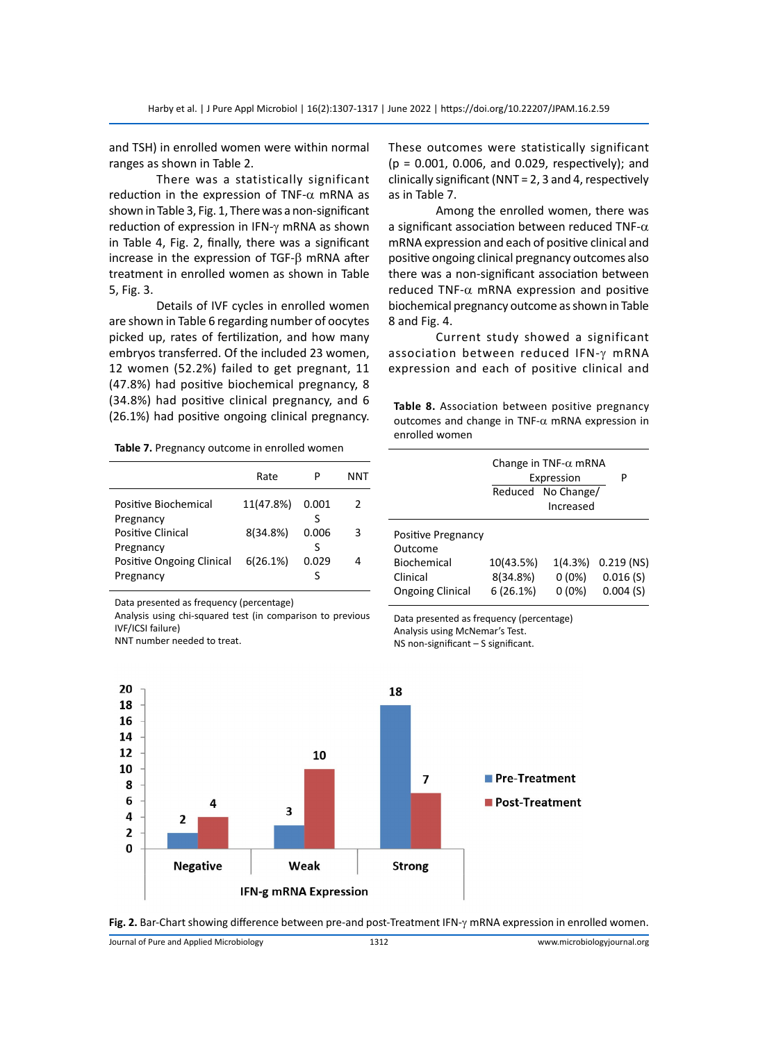and TSH) in enrolled women were within normal ranges as shown in Table 2.

There was a statistically significant reduction in the expression of TNF- $\alpha$  mRNA as shown in Table 3, Fig. 1, There was a non-significant reduction of expression in IFN-γ mRNA as shown in Table 4, Fig. 2, finally, there was a significant increase in the expression of TGF- $\beta$  mRNA after treatment in enrolled women as shown in Table 5, Fig. 3.

Details of IVF cycles in enrolled women are shown in Table 6 regarding number of oocytes picked up, rates of fertilization, and how many embryos transferred. Of the included 23 women, 12 women (52.2%) failed to get pregnant, 11 (47.8%) had positive biochemical pregnancy, 8 (34.8%) had positive clinical pregnancy, and 6 (26.1%) had positive ongoing clinical pregnancy.

**Table 7.** Pregnancy outcome in enrolled women

|                                        | Rate      |            | NNT |
|----------------------------------------|-----------|------------|-----|
| Positive Biochemical<br>Pregnancy      | 11(47.8%) | 0.001      | 2   |
| <b>Positive Clinical</b><br>Pregnancy  | 8(34.8%)  | 0.006<br>ς | 3   |
| Positive Ongoing Clinical<br>Pregnancy | 6(26.1%)  | 0.029      |     |

Data presented as frequency (percentage)

Analysis using chi-squared test (in comparison to previous IVF/ICSI failure)

NNT number needed to treat.

These outcomes were statistically significant (p = 0.001, 0.006, and 0.029, respectively); and clinically significant (NNT = 2, 3 and 4, respectively as in Table 7.

Among the enrolled women, there was a significant association between reduced TNF- $\alpha$ mRNA expression and each of positive clinical and positive ongoing clinical pregnancy outcomes also there was a non-significant association between reduced TNF- $\alpha$  mRNA expression and positive biochemical pregnancy outcome as shown in Table 8 and Fig. 4.

Current study showed a significant association between reduced IFN-γ mRNA expression and each of positive clinical and

**Table 8.** Association between positive pregnancy outcomes and change in TNF- $\alpha$  mRNA expression in enrolled women

|                                                                                     | Change in TNF- $\alpha$ mRNA<br>Expression<br>Reduced No Change/<br>Increased |                                 | P                                    |
|-------------------------------------------------------------------------------------|-------------------------------------------------------------------------------|---------------------------------|--------------------------------------|
| Positive Pregnancy<br>Outcome<br>Biochemical<br>Clinical<br><b>Ongoing Clinical</b> | 10(43.5%)<br>8(34.8%)<br>6(26.1%)                                             | 1(4.3%)<br>$0(0\%)$<br>$0(0\%)$ | $0.219$ (NS)<br>0.016(S)<br>0.004(S) |

Data presented as frequency (percentage) Analysis using McNemar's Test. NS non-significant – S significant.





Journal of Pure and Applied Microbiology 1312 www.microbiologyjournal.org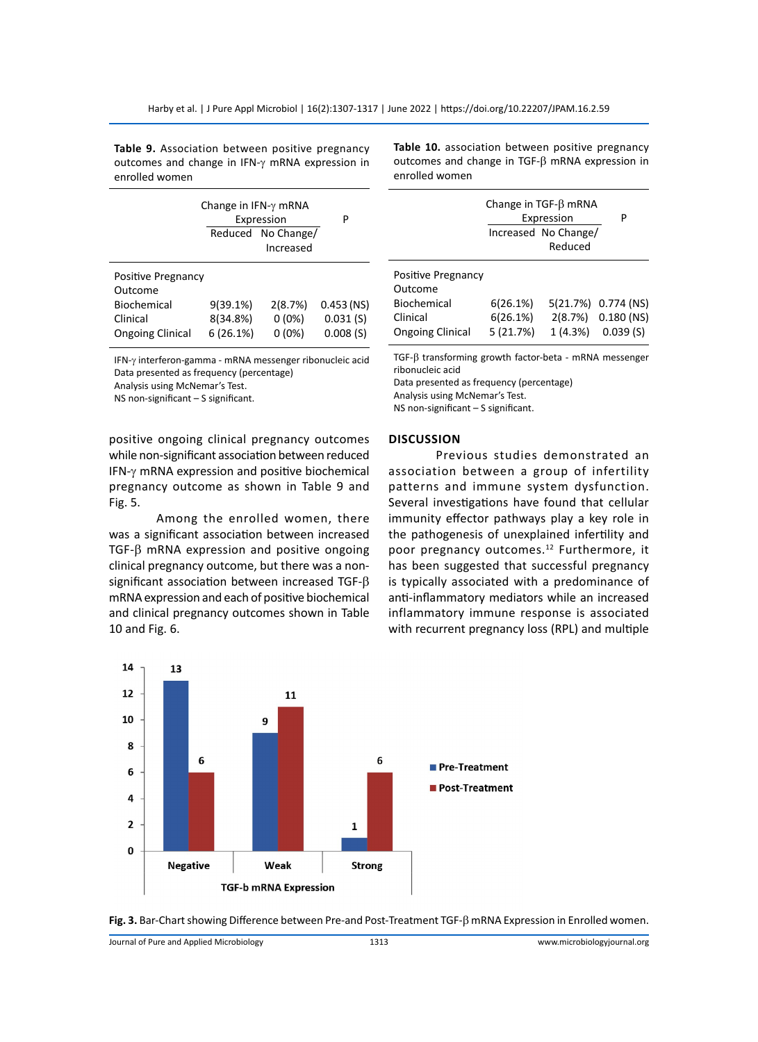**Table 9.** Association between positive pregnancy outcomes and change in IFN-γ mRNA expression in enrolled women

|                               | Change in $IFN-\gamma$ mRNA<br>Expression | Р                  |              |
|-------------------------------|-------------------------------------------|--------------------|--------------|
|                               |                                           | Reduced No Change/ |              |
|                               |                                           | Increased          |              |
| Positive Pregnancy<br>Outcome |                                           |                    |              |
| Biochemical                   | 9(39.1%)                                  | 2(8.7%)            | $0.453$ (NS) |
| Clinical                      | 8(34.8%)                                  | $0(0\%)$           | 0.031(S)     |
| <b>Ongoing Clinical</b>       | 6(26.1%)                                  | $0(0\%)$           | 0.008(S)     |

IFN-γ interferon-gamma - mRNA messenger ribonucleic acid Data presented as frequency (percentage) Analysis using McNemar's Test.

NS non-significant – S significant.

positive ongoing clinical pregnancy outcomes while non-significant association between reduced IFN-γ mRNA expression and positive biochemical pregnancy outcome as shown in Table 9 and Fig. 5.

Among the enrolled women, there was a significant association between increased TGF- $\beta$  mRNA expression and positive ongoing clinical pregnancy outcome, but there was a nonsignificant association between increased TGF- $\beta$ mRNA expression and each of positive biochemical and clinical pregnancy outcomes shown in Table 10 and Fig. 6.



|                                                                                     |                                  | Change in $TGF-\beta$ mRNA<br>Expression<br>Increased No Change/<br>Reduced | P                                                     |
|-------------------------------------------------------------------------------------|----------------------------------|-----------------------------------------------------------------------------|-------------------------------------------------------|
| Positive Pregnancy<br>Outcome<br>Biochemical<br>Clinical<br><b>Ongoing Clinical</b> | 6(26.1%)<br>6(26.1%)<br>5(21.7%) | 1(4.3%)                                                                     | 5(21.7%) 0.774 (NS)<br>2(8.7%) 0.180 (NS)<br>0.039(S) |

 $TGF-\beta$  transforming growth factor-beta - mRNA messenger ribonucleic acid

Data presented as frequency (percentage)

Analysis using McNemar's Test.

NS non-significant – S significant.

#### **Discussion**

Previous studies demonstrated an association between a group of infertility patterns and immune system dysfunction. Several investigations have found that cellular immunity effector pathways play a key role in the pathogenesis of unexplained infertility and poor pregnancy outcomes.<sup>12</sup> Furthermore, it has been suggested that successful pregnancy is typically associated with a predominance of anti-inflammatory mediators while an increased inflammatory immune response is associated with recurrent pregnancy loss (RPL) and multiple





Journal of Pure and Applied Microbiology 1313 www.microbiologyjournal.org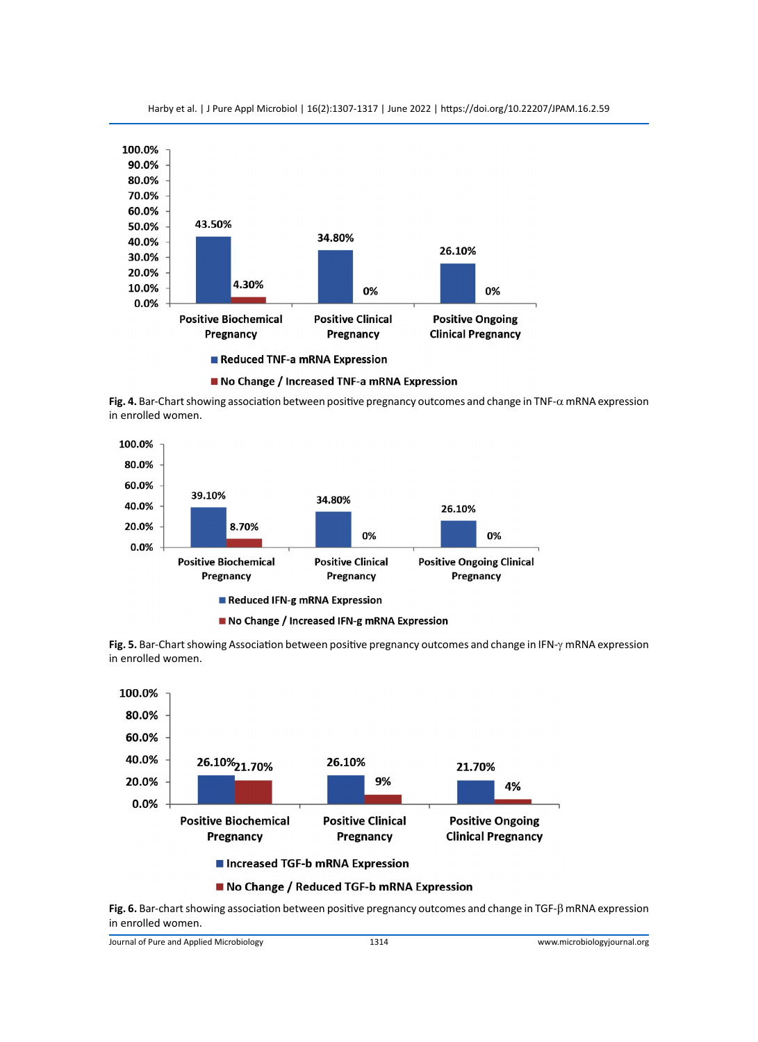

Harby et al. | J Pure Appl Microbiol | 16(2):1307-1317 | June 2022 | https://doi.org/10.22207/JPAM.16.2.59



**Fig. 4.** Bar-Chart showing association between positive pregnancy outcomes and change in TNF- $\alpha$  mRNA expression in enrolled women.



**Fig. 5.** Bar-Chart showing Association between positive pregnancy outcomes and change in IFN-γ mRNA expression in enrolled women.



#### No Change / Reduced TGF-b mRNA Expression

**Fig. 6.** Bar-chart showing association between positive pregnancy outcomes and change in TGF- $\beta$  mRNA expression in enrolled women.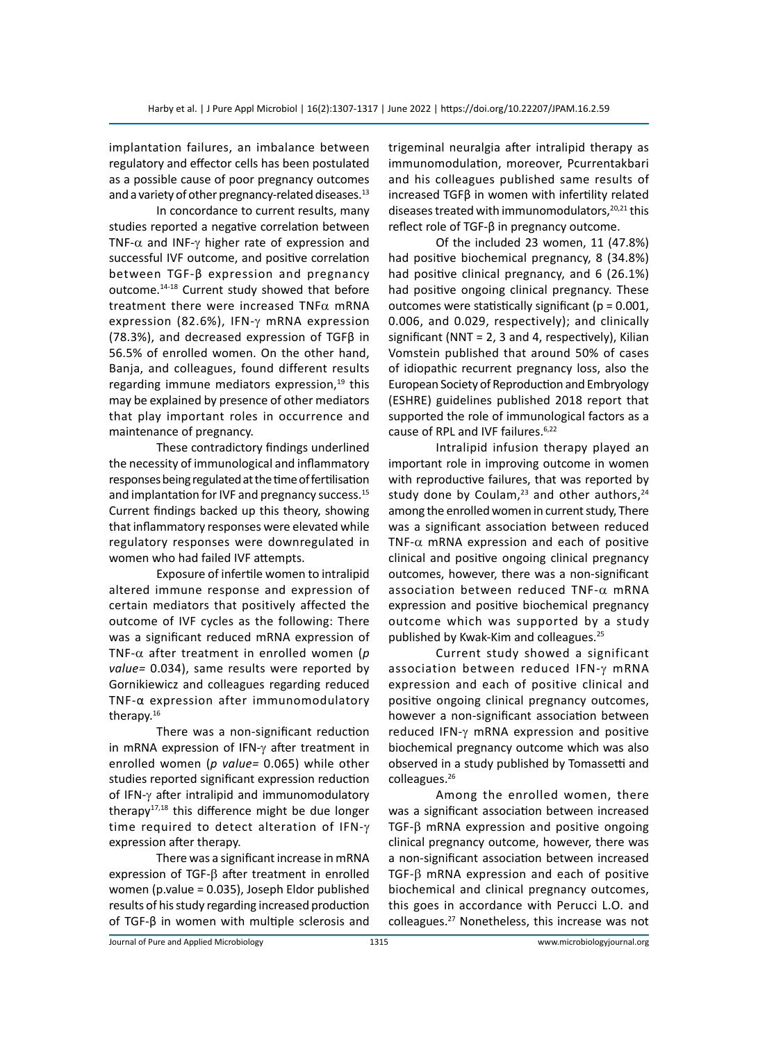implantation failures, an imbalance between regulatory and effector cells has been postulated as a possible cause of poor pregnancy outcomes and a variety of other pregnancy-related diseases.<sup>13</sup>

In concordance to current results, many studies reported a negative correlation between TNF- $\alpha$  and INF- $\gamma$  higher rate of expression and successful IVF outcome, and positive correlation between TGF-β expression and pregnancy outcome.14-18 Current study showed that before treatment there were increased  $TNF\alpha$  mRNA expression (82.6%), IFN-γ mRNA expression (78.3%), and decreased expression of TGFβ in 56.5% of enrolled women. On the other hand, Banja, and colleagues, found different results regarding immune mediators expression, $19$  this may be explained by presence of other mediators that play important roles in occurrence and maintenance of pregnancy.

These contradictory findings underlined the necessity of immunological and inflammatory responses being regulated at the time of fertilisation and implantation for IVF and pregnancy success.<sup>15</sup> Current findings backed up this theory, showing that inflammatory responses were elevated while regulatory responses were downregulated in women who had failed IVF attempts.

Exposure of infertile women to intralipid altered immune response and expression of certain mediators that positively affected the outcome of IVF cycles as the following: There was a significant reduced mRNA expression of TNF- $\alpha$  after treatment in enrolled women ( $p$ *value=* 0.034), same results were reported by Gornikiewicz and colleagues regarding reduced TNF-α expression after immunomodulatory therapy.16

There was a non-significant reduction in mRNA expression of IFN-γ after treatment in enrolled women (*p value=* 0.065) while other studies reported significant expression reduction of IFN-γ after intralipid and immunomodulatory therapy $17,18$  this difference might be due longer time required to detect alteration of IFN-γ expression after therapy.

There was a significant increase in mRNA expression of TGF- $\beta$  after treatment in enrolled women (p.value = 0.035), Joseph Eldor published results of his study regarding increased production of TGF-β in women with multiple sclerosis and trigeminal neuralgia after intralipid therapy as immunomodulation, moreover, Pcurrentakbari and his colleagues published same results of increased TGFβ in women with infertility related diseases treated with immunomodulators, $20,21$  this reflect role of TGF-β in pregnancy outcome.

Of the included 23 women, 11 (47.8%) had positive biochemical pregnancy, 8 (34.8%) had positive clinical pregnancy, and 6 (26.1%) had positive ongoing clinical pregnancy. These outcomes were statistically significant ( $p = 0.001$ , 0.006, and 0.029, respectively); and clinically significant (NNT = 2, 3 and 4, respectively), Kilian Vomstein published that around 50% of cases of idiopathic recurrent pregnancy loss, also the European Society of Reproduction and Embryology (ESHRE) guidelines published 2018 report that supported the role of immunological factors as a cause of RPL and IVF failures.<sup>6,22</sup>

Intralipid infusion therapy played an important role in improving outcome in women with reproductive failures, that was reported by study done by Coulam, $23$  and other authors, $24$ among the enrolled women in current study, There was a significant association between reduced TNF- $\alpha$  mRNA expression and each of positive clinical and positive ongoing clinical pregnancy outcomes, however, there was a non-significant association between reduced TNF- $\alpha$  mRNA expression and positive biochemical pregnancy outcome which was supported by a study published by Kwak‐Kim and colleagues.<sup>25</sup>

Current study showed a significant association between reduced IFN-γ mRNA expression and each of positive clinical and positive ongoing clinical pregnancy outcomes, however a non-significant association between reduced IFN-γ mRNA expression and positive biochemical pregnancy outcome which was also observed in a study published by Tomassetti and colleagues.26

Among the enrolled women, there was a significant association between increased TGF- $\beta$  mRNA expression and positive ongoing clinical pregnancy outcome, however, there was a non-significant association between increased TGF- $\beta$  mRNA expression and each of positive biochemical and clinical pregnancy outcomes, this goes in accordance with Perucci L.O. and colleagues.27 Nonetheless, this increase was not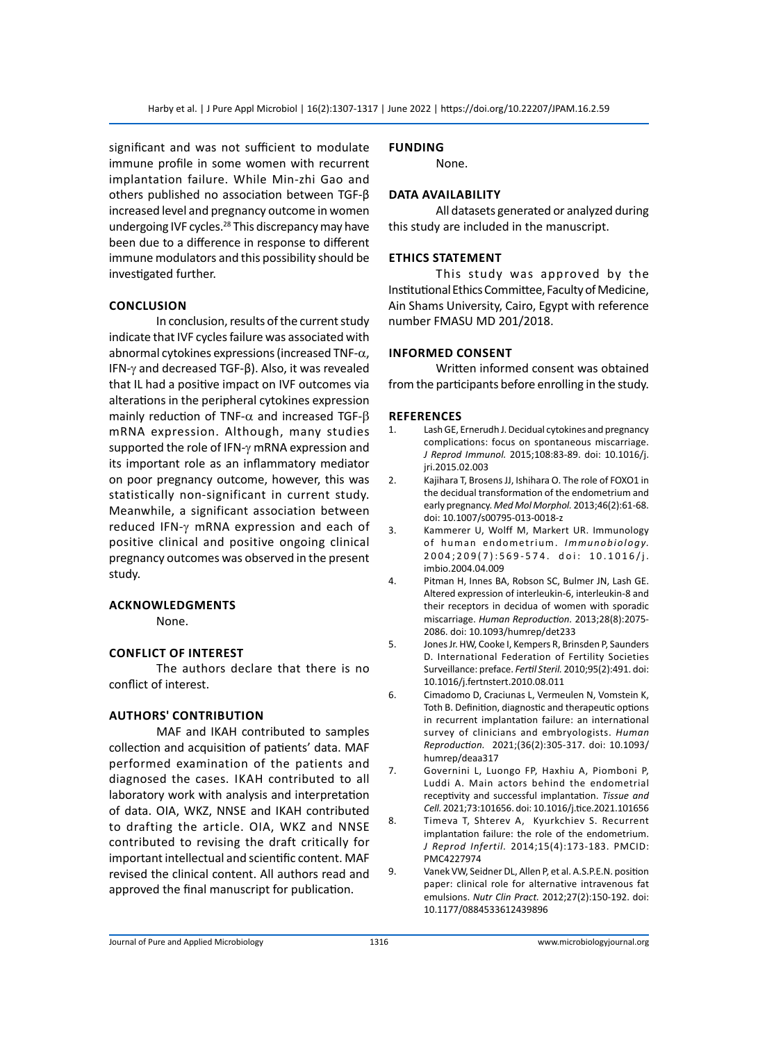significant and was not sufficient to modulate immune profile in some women with recurrent implantation failure. While Min-zhi Gao and others published no association between TGF-β increased level and pregnancy outcome in women undergoing IVF cycles.<sup>28</sup> This discrepancy may have been due to a difference in response to different immune modulators and this possibility should be investigated further.

# **Conclusion**

In conclusion, results of the current study indicate that IVF cycles failure was associated with abnormal cytokines expressions (increased TNF- $\alpha$ , IFN-γ and decreased TGF-β). Also, it was revealed that IL had a positive impact on IVF outcomes via alterations in the peripheral cytokines expression mainly reduction of TNF- $\alpha$  and increased TGF- $\beta$ mRNA expression. Although, many studies supported the role of IFN-γ mRNA expression and its important role as an inflammatory mediator on poor pregnancy outcome, however, this was statistically non-significant in current study. Meanwhile, a significant association between reduced IFN-γ mRNA expression and each of positive clinical and positive ongoing clinical pregnancy outcomes was observed in the present study.

#### **Acknowledgments**

None.

# **Conflict of interest**

The authors declare that there is no conflict of interest.

#### **AuthorS' Contribution**

MAF and IKAH contributed to samples collection and acquisition of patients' data. MAF performed examination of the patients and diagnosed the cases. IKAH contributed to all laboratory work with analysis and interpretation of data. OIA, WKZ, NNSE and IKAH contributed to drafting the article. OIA, WKZ and NNSE contributed to revising the draft critically for important intellectual and scientific content. MAF revised the clinical content. All authors read and approved the final manuscript for publication.

# **Funding**

None.

# **Data availability**

All datasets generated or analyzed during this study are included in the manuscript.

#### **Ethics statement**

This study was approved by the Institutional Ethics Committee, Faculty of Medicine, Ain Shams University, Cairo, Egypt with reference number FMASU MD 201/2018.

#### **informed consent**

Written informed consent was obtained from the participants before enrolling in the study.

#### **References**

- 1. Lash GE, Ernerudh J. Decidual cytokines and pregnancy complications: focus on spontaneous miscarriage. *J Reprod Immunol.* 2015;108:83-89. doi: 10.1016/j. jri.2015.02.003
- 2. Kajihara T, Brosens JJ, Ishihara O. The role of FOXO1 in the decidual transformation of the endometrium and early pregnancy. *Med Mol Morphol.* 2013;46(2):61-68. doi: 10.1007/s00795-013-0018-z
- 3. Kammerer U, Wolff M, Markert UR. Immunology of human endometrium. *Immunobiology.* 2004;209(7):569-574. doi: 10.1016/j. imbio.2004.04.009
- 4. Pitman H, Innes BA, Robson SC, Bulmer JN, Lash GE. Altered expression of interleukin-6, interleukin-8 and their receptors in decidua of women with sporadic miscarriage. *Human Reproduction.* 2013;28(8):2075- 2086. doi: 10.1093/humrep/det233
- 5. Jones Jr. HW, Cooke I, Kempers R, Brinsden P, Saunders D. International Federation of Fertility Societies Surveillance: preface. *Fertil Steril.* 2010;95(2):491. doi: 10.1016/j.fertnstert.2010.08.011
- 6. Cimadomo D, Craciunas L, Vermeulen N, Vomstein K, Toth B. Definition, diagnostic and therapeutic options in recurrent implantation failure: an international survey of clinicians and embryologists. *Human Reproduction.* 2021;(36(2):305-317. doi: 10.1093/ humrep/deaa317
- 7. Governini L, Luongo FP, Haxhiu A, Piomboni P, Luddi A. Main actors behind the endometrial receptivity and successful implantation. *Tissue and Cell.* 2021;73:101656. doi: 10.1016/j.tice.2021.101656
- 8. Timeva T, Shterev A, Kyurkchiev S. Recurrent implantation failure: the role of the endometrium. *J Reprod Infertil.* 2014;15(4):173-183. PMCID: PMC4227974
- 9. Vanek VW, Seidner DL, Allen P, et al. A.S.P.E.N. position paper: clinical role for alternative intravenous fat emulsions. *Nutr Clin Pract.* 2012;27(2):150-192. doi: 10.1177/0884533612439896